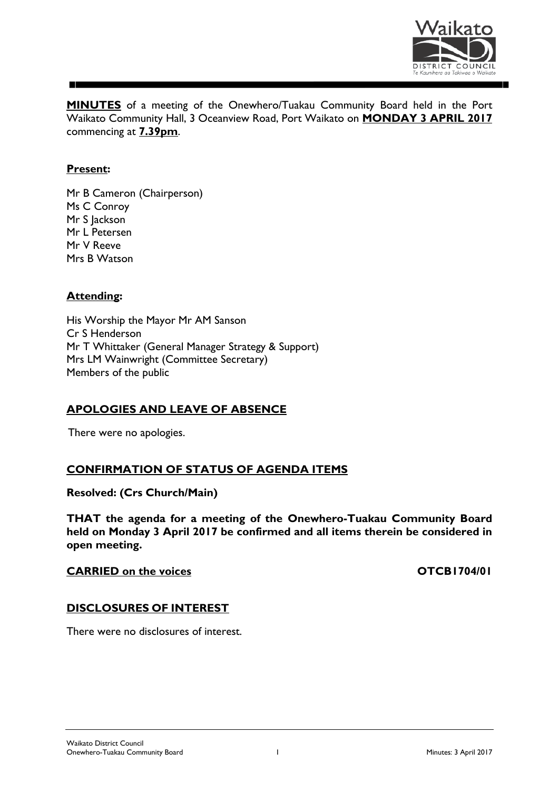

**MINUTES** of a meeting of the Onewhero/Tuakau Community Board held in the Port Waikato Community Hall, 3 Oceanview Road, Port Waikato on **MONDAY 3 APRIL 2017** commencing at **7.39pm**.

## **Present:**

Mr B Cameron (Chairperson) Ms C Conroy Mr S Jackson Mr L Petersen Mr V Reeve Mrs B Watson

## **Attending:**

His Worship the Mayor Mr AM Sanson Cr S Henderson Mr T Whittaker (General Manager Strategy & Support) Mrs LM Wainwright (Committee Secretary) Members of the public

## **APOLOGIES AND LEAVE OF ABSENCE**

There were no apologies.

## **CONFIRMATION OF STATUS OF AGENDA ITEMS**

**Resolved: (Crs Church/Main)**

**THAT the agenda for a meeting of the Onewhero-Tuakau Community Board held on Monday 3 April 2017 be confirmed and all items therein be considered in open meeting.**

## **CARRIED** on the voices **CARRIED** on the voices

#### **DISCLOSURES OF INTEREST**

There were no disclosures of interest.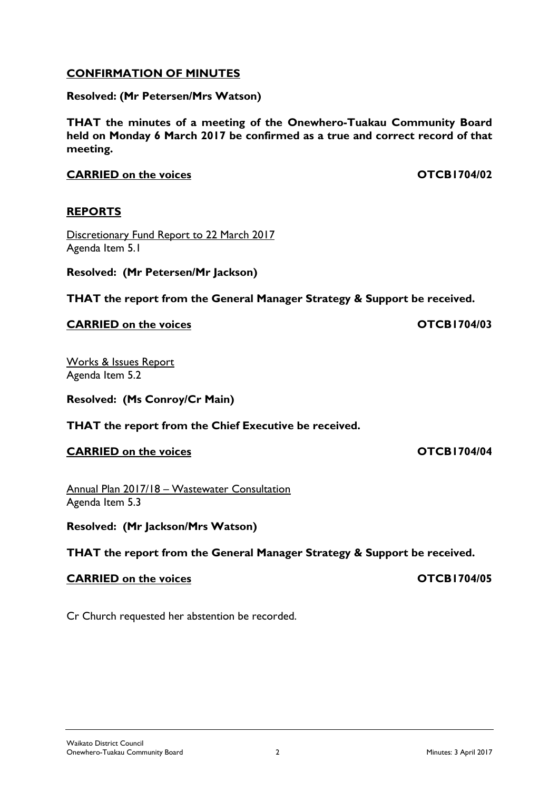Waikato District Council Onewhero-Tuakau Community Board 2 Minutes: 3 April 2017

# **CONFIRMATION OF MINUTES**

## **Resolved: (Mr Petersen/Mrs Watson)**

**THAT the minutes of a meeting of the Onewhero-Tuakau Community Board held on Monday 6 March 2017 be confirmed as a true and correct record of that meeting.**

**CARRIED** on the voices **CARRIED** on the voices

## **REPORTS**

Discretionary Fund Report to 22 March 2017 Agenda Item 5.1

**Resolved: (Mr Petersen/Mr Jackson)**

**THAT the report from the General Manager Strategy & Support be received.**

# **CARRIED on the voices OTCB1704/03**

Works & Issues Report Agenda Item 5.2

**Resolved: (Ms Conroy/Cr Main)**

**THAT the report from the Chief Executive be received.**

**CARRIED** on the voices **CARRIED** on the voices

Annual Plan 2017/18 – Wastewater Consultation Agenda Item 5.3

Cr Church requested her abstention be recorded.

**Resolved: (Mr Jackson/Mrs Watson)**

**THAT the report from the General Manager Strategy & Support be received.**

# **CARRIED** on the voices **CARRIED** on the voices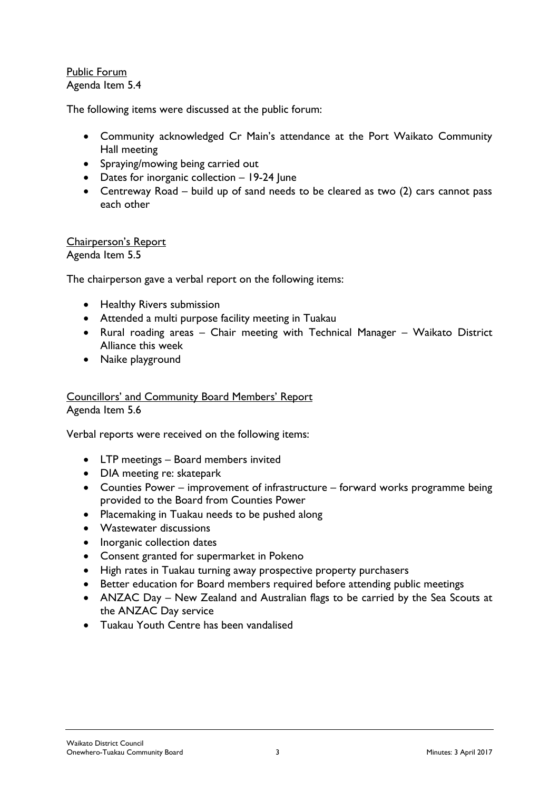Public Forum Agenda Item 5.4

The following items were discussed at the public forum:

- Community acknowledged Cr Main's attendance at the Port Waikato Community Hall meeting
- Spraying/mowing being carried out
- Dates for inorganic collection 19-24 June
- Centreway Road build up of sand needs to be cleared as two (2) cars cannot pass each other

#### Chairperson's Report Agenda Item 5.5

The chairperson gave a verbal report on the following items:

- Healthy Rivers submission
- Attended a multi purpose facility meeting in Tuakau
- Rural roading areas Chair meeting with Technical Manager Waikato District Alliance this week
- Naike playground

#### Councillors' and Community Board Members' Report Agenda Item 5.6

Verbal reports were received on the following items:

- LTP meetings Board members invited
- DIA meeting re: skatepark
- Counties Power improvement of infrastructure forward works programme being provided to the Board from Counties Power
- Placemaking in Tuakau needs to be pushed along
- Wastewater discussions
- Inorganic collection dates
- Consent granted for supermarket in Pokeno
- High rates in Tuakau turning away prospective property purchasers
- Better education for Board members required before attending public meetings
- ANZAC Day New Zealand and Australian flags to be carried by the Sea Scouts at the ANZAC Day service
- Tuakau Youth Centre has been vandalised